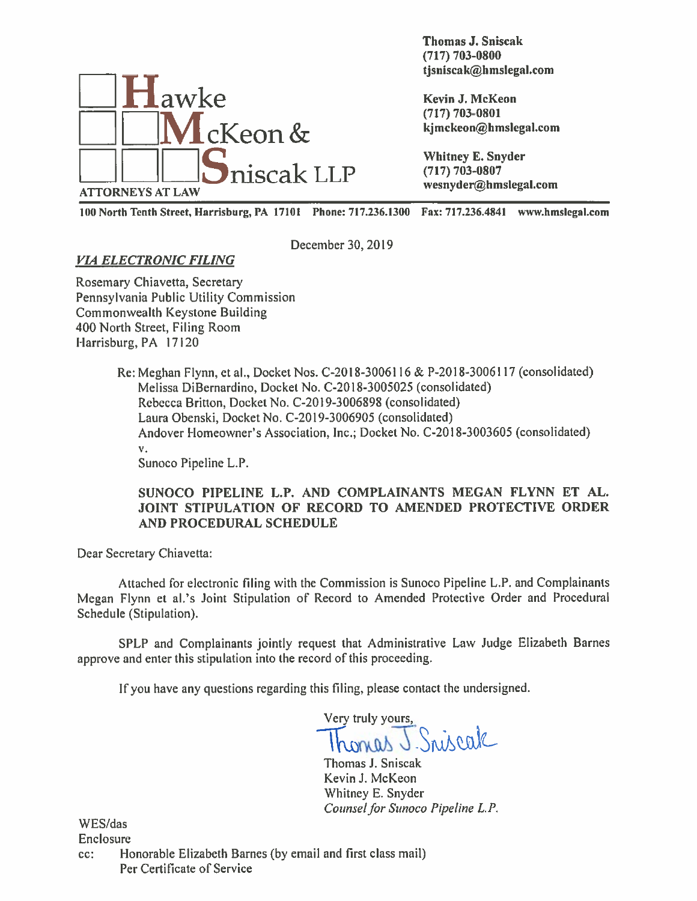

Thomas J. Sniscak (717) 703-0800 Thomas J. Sniscak<br>
(717) 703-0800<br>
tjsniscak@hmslegal.com

100 North Tenth Street, Harrisburg, PA 17101 Phone: 717.236.1300 Fax: 717.236.4841 www.hmsIegal.com

December 30, 2019

# VIA ELECTRONIC FILING

Rosemary Chiavetta, Secretary Pennsylvania Public Utility Commission Commonwealth Keystone Building 400 North Street, Filing Room Harrisburg, PA 17120

> Re: Meghan Flynn, et al., Docket Nos. C-20 18-3006116 & P-20 18-3006117 (consolidated) Melissa DiBernardino, Docket No. C-20 18-3005025 (consolidated) Rebecca Britton, Docket No. C-20 19-3006898 (consolidated) Laura Obenski, Docket No. C-2019-3006905 (consolidated) Andover Homeowner's Association, Inc.; Docket No. C-20 18-3003605 (consolidated) v. Sunoco Pipeline L.P.

### SUNOCO PIPELINE L.P. AND COMPLAINANTS MEGAN FLYNN ET AL. JOINT STIPULATION OF RECORD TO AMENDED PROTECTIVE ORDER AND PROCEDURAL SCHEDULE

Dear Secretary Chiavetta:

Attached for electronic filing with the Commission is Sunoco Pipeline L.P. and Complainants Megan Flynn et al.'s Joint Stipulation of Record to Amended Protective Order and Procedural Schedule (Stipulation).

SPLP and Complainants jointly reques<sup>t</sup> that Administrative Law Judge Elizabeth Barnes approve and enter this stipulation into the record of this proceeding.

If you have any questions regarding this filing, <sup>p</sup>lease contact the undersigned.

Very truly yours, Sniscak

Thomas J. Sniscak Kevin J. McKeon Whitney B. Snyder Counsel for Sunoco Pipeline L.P.

WES/das Enclosure

cc: Honorable Elizabeth Barnes (by email and first class mail) Per Certificate of Service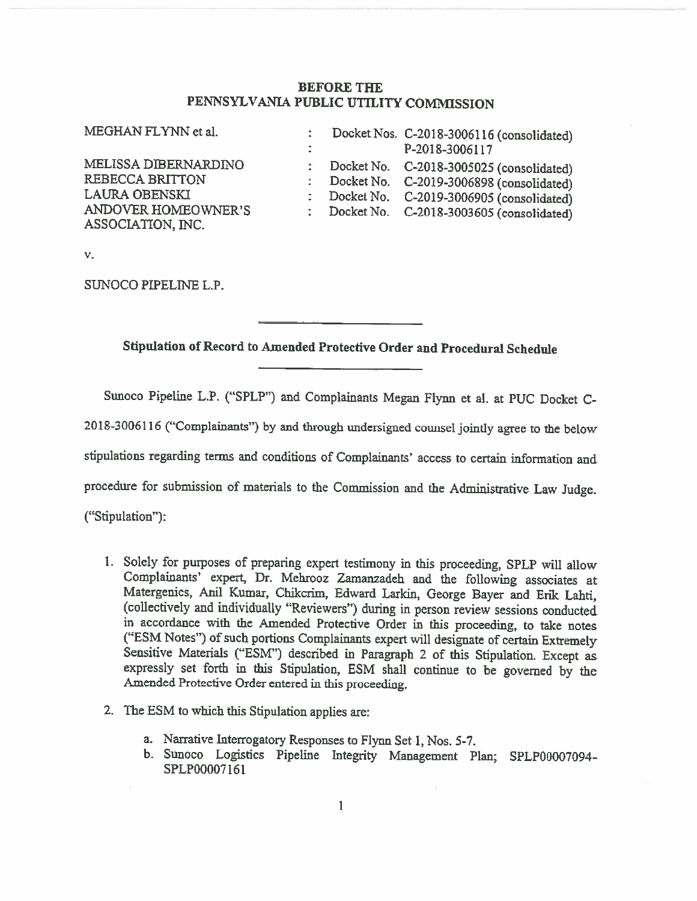#### BEFORE THE PENNSYLVANIA PUBLIC UTILITY COMMISSION

| MEGHAN FLYNN et al.                                                                                                | $\ddot{\phantom{a}}$ | Docket Nos. C-2018-3006116 (consolidated)<br>P-2018-3006117                                                                                                                  |
|--------------------------------------------------------------------------------------------------------------------|----------------------|------------------------------------------------------------------------------------------------------------------------------------------------------------------------------|
| MELISSA DIBERNARDINO<br><b>REBECCA BRITTON</b><br><b>LAURA OBENSKI</b><br>ANDOVER HOMEOWNER'S<br>ASSOCIATION, INC. | ÷.                   | Docket No. C-2018-3005025 (consolidated)<br>Docket No. C-2019-3006898 (consolidated)<br>Docket No. C-2019-3006905 (consolidated)<br>Docket No. C-2018-3003605 (consolidated) |

V.

SUNOCO PIPELINE L.P.

Stipulation of Record to Amended Protective Order and Procedural Schedule

Sunoco Pipeline L.P. ("SPLP") and Complainants Megan Flynn et al. at PUC Docket C-

2018-3006116 ("Complainants") by and through undersigned counsel jointly agree to the below

stipulations regarding terms and conditions of Complainants' access to certain information and

procedure for submission of materials to the Commission and the Administrative Law Judge.

("Stipulation"):

- 1. Solely for purposes of preparing expert testimony in this proceeding, SPLP will allow Complainants' expert, Dr. Mehrooz Zaman2adeh and the following associates at Matergenics, Anil Kumar, Chikcrim, Edward Larkin, George Bayer and Erik Lahti, (collectively and individually "Reviewers") during in person review sessions conducted in accordance with the Amended Protective Order in this proceeding, to take notes ("ESM Notes") of such portions Complainants expert will designate of certain Extremely Sensitive Materials ("ESM") described in Paragraph 2 of this Stipulation. Except as expressly set forth in this Stipulation, ESM shall continue to be governed by the Amended Protective Order entered in this proceeding.
- 2. The ESM to which this Stipulation applies are:
	- a. Narrative Interrogatory Responses to Flynn Set 1, Nos. 5-7.
	- b. Sunoco Logistics Pipeline Integrity Management Plan; SPLP00007O94- SPLP00007 161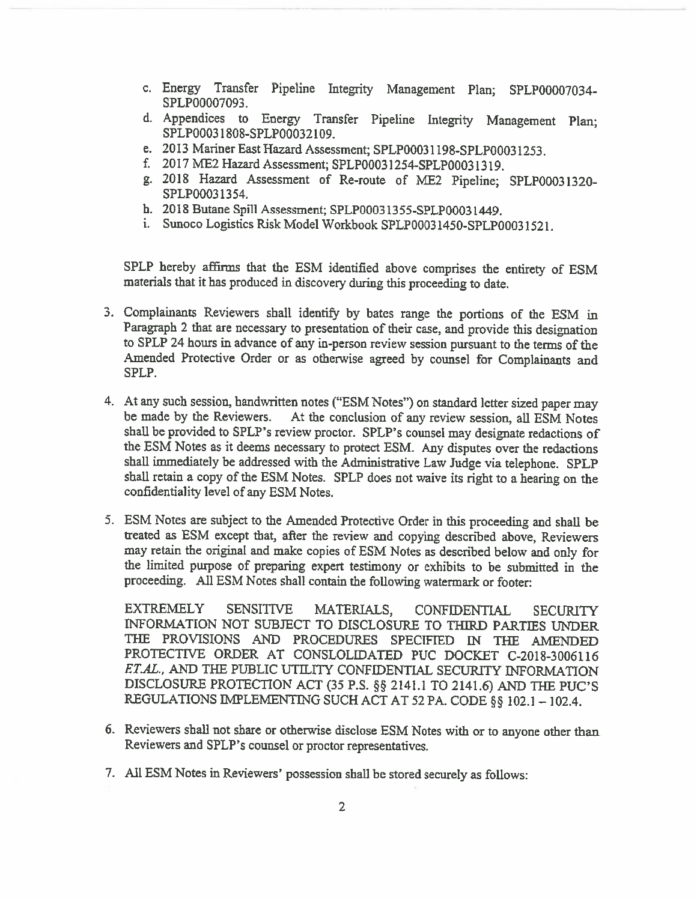- c. Energy Transfer Pipeline Integrity Management Plan; 5PLP00007034- SPLP00007O93.
- d. Appendices to Energy Transfer Pipeline Integrity Management Plan; SPLP0003 1 808-SPLP000321O9.
- e. 2013 Mariner East Hazard Assessment; SPLP0003 I 198-SPLP0003 1253.
- f. 2017 ME2 Hazard Assessment; SPLP0003 1254-SPLP0003 1319.
- g. <sup>2018</sup> Hazard Assessment of Re-route of ME2 Pipeline; SPLP0003 1320- SPLP0003 1354.
- h. 2018 Butane Spill Assessment; SPLP0003 13 55-SPLP0003 1449.
- i. Sunoco Logistics Risk Model Workbook SPLP0003145O-SPLP0003152I.

SPLP hereby affirms that the ESM identified above comprises the entirety of ESM materials that it has produced in discovery during this proceeding to date.

- 3. Complainants Reviewers shall identify by bates range the portions of the ESM in Paragraph 2 that are necessary to presentation of their case, and provide this designation to SPLP <sup>24</sup> hours in advance of any in-person review session pursuant to the terms of the Amended Protective Order or as otherwise agreed by counsel for Complainants and SPLP.
- 4. At any such session, handwritten notes ("ESM Notes") on standard letter sized paper may be made by the Reviewers. At the conclusion of any review session, all ESM Notes shall be provided to SPLP's review proctor. SPLP's counsel may designate redactions of the ESM Notes as it deems necessary to protect ESM. Any disputes over the redactions shall immediately be addressed with the Administrative Law Judge via telephone. SPLP shall retain <sup>a</sup> copy of the ESM Notes. SPLP does not waive its right to <sup>a</sup> hearing on the confidentiality level of any ESM Notes.
- 5. ESM Notes are subject to the Amended Protective Order in this proceeding and shall be treated as ESM except that, after the review and copying described above, Reviewers may retain the original and make copies of ESM Notes as described below and only for the limited purpose of preparing expert testimony or exhibits to be submitted in the proceeding. All ESM Notes shall contain the following watermark or footer:

EXTREMELY SENSITIVE MATERIALS, CONFIDENTIAL SECURITY INFORMATION NOT SUBJECT TO DISCLOSURE TO THIRD PARTIES UNDER THE PROVISIONS AND PROCEDURES SPECIFIED IN THE AMENDED PROTECTIVE ORDER AT CONSLOLIDATED PUC DOCKET C-2018-3006116 ET.AL., AND THE PUBLIC UTILITY CONFIDENTIAL SECURITY INFORMATION DISCLOSURE PROTECTION ACT (35 P.S. § 2141.1 TO 2141.6) AND THE PUC'S REGULATIONS IMPLEMENTING SUCH ACT AT 52 PA. CODE §§ 102.1 - 102.4.

- 6. Reviewers shall not share or otherwise disclose ESM Notes with or to anyone other than Reviewers and SPLP 's counsel or proctor representatives.
- 7. All ESM Notes in Reviewers' possession shall be stored securely as follows: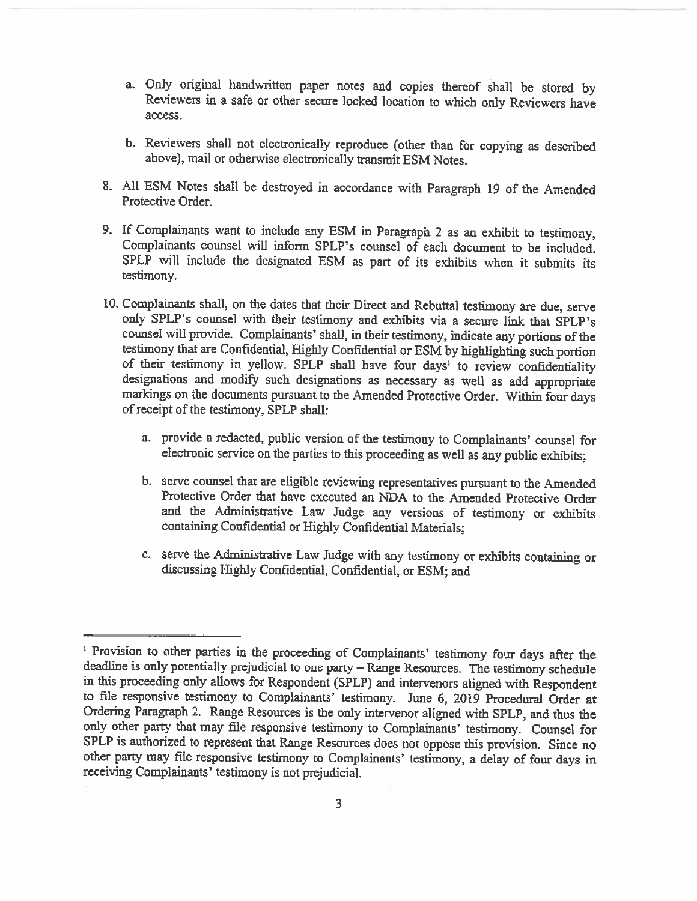- a. Only original handwritten paper notes and copies thereof shall be stored by Reviewers in <sup>a</sup> safe or other secure locked location to which only Reviewers have access.
- b. Reviewers shall not electronically reproduce (other than for copying as described above), mail or otherwise electronically transmit ESM Notes.
- 8. All ESM Notes shall be destroyed in accordance with Paragraph <sup>19</sup> of the Amended Protective Order.
- 9. If Complainants want to include any ESM in Paragraph <sup>2</sup> as an exhibit to testimony, Complainants counsel will inform SPLP's counsel of each document to be included. SPLP will include the designated ESM as part of its exhibits when it submits its testimony.
- 10. Complainants shall, on the dates that their Direct and Rebuttal testimony are due, serve only SPLP's counsel with their testimony and exhibits via a secure link that SPLP's counsel will provide. Complainants' shall, in their testimony, indicate any portions of the testimony that are Confidential, Highly Confidential or ESM by highlighting such portion of their testimony in yellow. SPLP shall have four days' to review confidentiality designations and modify such designations as necessary as well as add appropriate markings on the documents pursuant to the Amended Protective Order. Within four days ofreceipt of the testimony, SPLP shall:
	- a. provide <sup>a</sup> redacted, public version of the testimony to Complainants' counsel for electronic service on the parties to this proceeding as well as any public exhibits;
	- b. serve counsel that are eligible reviewing representatives pursuant to the Amended Protective Order that have executed an NDA to the Amended Protective Order and the Administrative Law Judge any versions of testimony or exhibits containing Confidential or Highly Confidential Materials;
	- c. serve the Administrative Law Judge with any testimony or exhibits containing or discussing Highly Confidential, Confidential, or ESM; and

<sup>&</sup>lt;sup>1</sup> Provision to other parties in the proceeding of Complainants' testimony four days after the deadline is only potentially prejudicial to one party – Range Resources. The testimony schedule in this proceeding only allows for Respondent (SPLP) and intewenors aligned with Respondent to file responsive testimony to Complainants' testimony. June 6, <sup>2019</sup> Procedural Order at Ordering Paragraph 2. Range Resources is the only intervenor aligned with SPLP, and thus the only other party that may file responsive testimony to Complainants' testimony. Counsel for SPLP is authorized to represent that Range Resources does not oppose this provision. Since no other party may ifie responsive testimony to Complainants' testimony, <sup>a</sup> delay of four days in receiving Complainants' testimony is not prejudicial.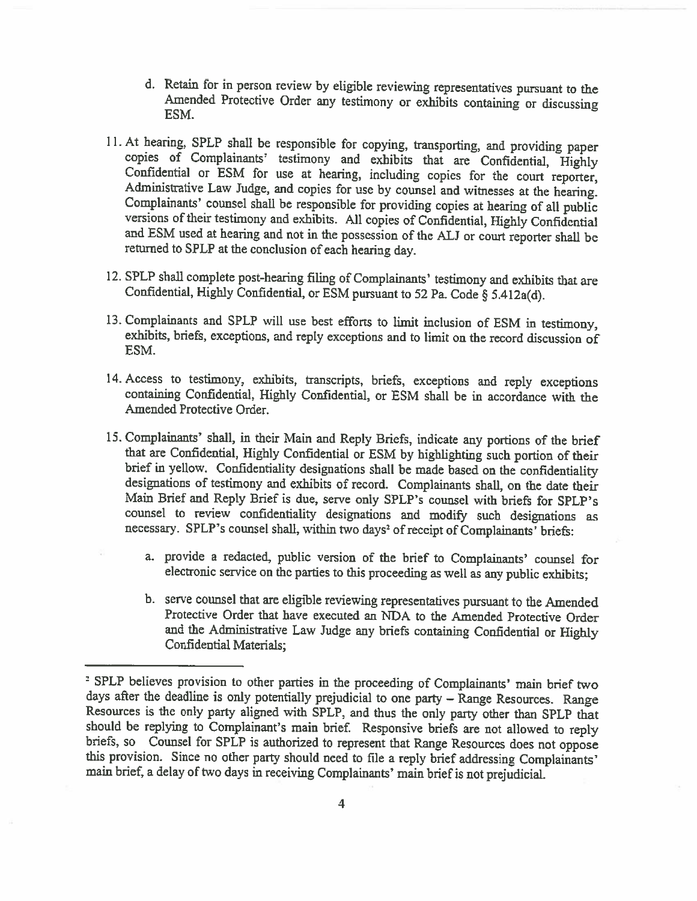- d. Retain for in person review by eligible reviewing representatives pursuant to the Amended Protective Order any testimony or exhibits containing or discussing ESM.
- 11. At hearing, SPLP shall be responsible for copying, transporting, and providing paper copies of Complainants' testimony and exhibits that are Confidential, Highly Confidential or ESM for use at hearing, including copies for the court reporter, Administrative Law Judge, and copies for use by counsel and witnesses at the hearing. Complainants' counsel shall be responsible for providin
- 12. SPLP shall complete post-hearing filing of Complainants' testimony and exhibits that are Confidential, Highly Confidential, or ESM pursuant to <sup>52</sup> Pa. Code § 5.4l2a(d).
- 13. Complainants and SPLP will use best efforts to limit inclusion of ESM in testimony, exhibits, briefs, exceptions, and reply exceptions and to limit on the record discussion of ESM.
- 14. Access to testimony, exhibits, transcripts, briefs, exceptions and reply exceptions containing Confidential, Highly Confidential, or ESM shall be in accordance with the Amended Protective Order.
- 15. Complainants' shall, in their Main and Reply Briefs, indicate any portions of the brief that are Confidential, Highly Confidential or ESM by highlighting such portion of their brief in yellow. Confidentiality designations shall be made based on the confidentiality designations of testimony and exhibits of record. Complainants shall, on the date their Main Brief and Reply Brief is due, serve only SPLP's counsel with briefs for SPLP's counsel to review confidentiality designations and modify such designations as necessary. SPLP's counsel shall, within two days<sup>2</sup> of receipt of Complainants' briefs:
	- a. provide <sup>a</sup> redacted, public version of the brief to Complainants' counsel for electronic service on the parties to this proceeding as well as any public exhibits;
	- b. serve counsel that arc eligible reviewing representatives pursuant to the Amended Protective Order that have executed an NDA to the Amended Protective Order and the Administrative Law Judge any briefs containing Confidential or Flighly Confidential Materials;

<sup>&</sup>lt;sup>2</sup> SPLP believes provision to other parties in the proceeding of Complainants' main brief two days after the deadline is only potentially prejudicial to one party – Range Resources. Range Resources is the only party aligned with SPLP, and thus the only party other than SPLP that should be replying to Complainant's main brief. Responsive briefs are not allowed to reply briefs, so Counsel for SPLP is authorized to represent that Range Resources does not oppose this provision. Since no other party should need to file a reply brief addressing Complainants' main brief, <sup>a</sup> delay of two days in receiving Complainants' main brief is not prejudicial.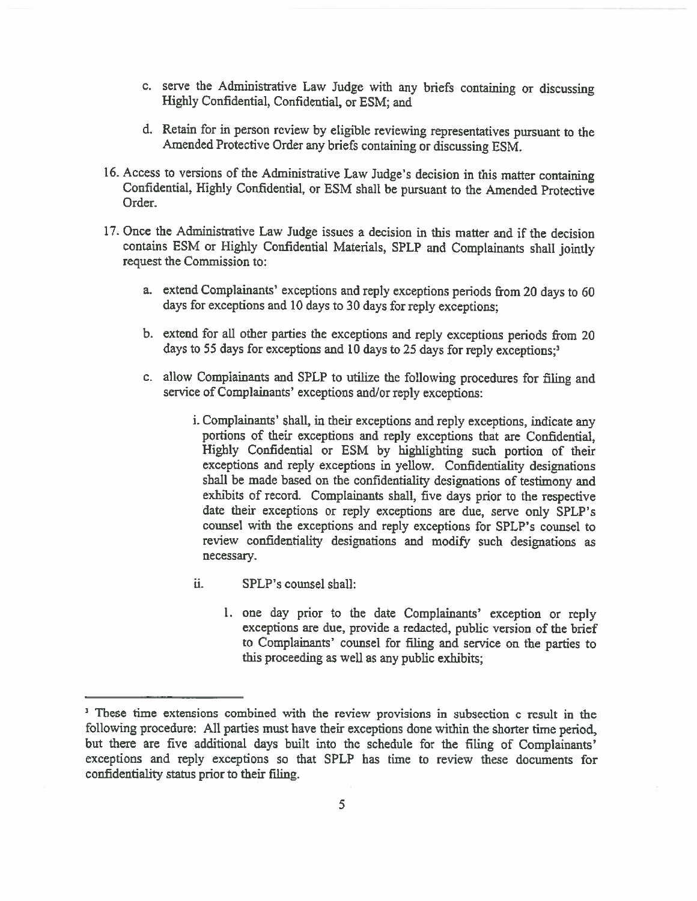- c. serve the Administrative Law Judge with any briefs containing or discussing Highly Confidential, Confidential, or ESM; and
- d. Retain for in person review by eligible reviewing representatives pursuan<sup>t</sup> to the Amcnded Protective Order any briefs containing or discussing ESM.
- 16. Access to versions of the Administrative Law Judge's decision in this matter containing Confidential, Highly Confidential, or ESM shall be pursuan<sup>t</sup> to the Amended Protective Order.
- 17. Once the Administrative Law Judge issues a decision in this matter and if the decision contains ESM or Highly Confidential Materials, SPLP and Complainants shall jointly reques<sup>t</sup> the Commission to:
	- a. extend Complainants' exceptions and reply exceptions periods from <sup>20</sup> days to <sup>60</sup> days for exceptions and <sup>10</sup> days to <sup>30</sup> days for reply exceptions;
	- b. extend for all other parties the exceptions and reply exceptions periods from <sup>20</sup> days to 55 days for exceptions and 10 days to 25 days for reply exceptions;<sup>3</sup>
	- c. allow Complainants and SPLP to utilize the following procedures for filing and service of Complainants' exceptions and/or reply exceptions:
		- i. Complainants' shall, in their exceptions and reply exceptions, indicate any portions of their exceptions and reply exceptions that are Confidential, Highly Confidential or ESM by highlighting such portion of their exceptions and reply exceptions in yellow. Confidentiality designations shall be made based on the confidentiality designations of testimony and exhibits of record. Complainants shall, five days prior to the respective date their exceptions or reply exceptions are due, serve only SPLP's counsel with the exceptions and reply exceptions for SPLP's counsel to review confidentiality designations and modify such designations as necessary.
		- ii. SPLP's counsel shall:
			- 1. one day prior to the date Complainants' exception or reply exceptions are due, provide <sup>a</sup> redacted, public version of the brief to Complainants' counsel for filing and service on the parties to this proceeding as well as any public exhibits;

<sup>&</sup>lt;sup>3</sup> These time extensions combined with the review provisions in subsection c result in the following procedure: All parties must have their exceptions done within the shorter time period, but there are five additional days built into the schedule for the filing of Complainants' exceptions and reply exceptions so that SPLP has time to review these documents for confidentiality status prior to their filing.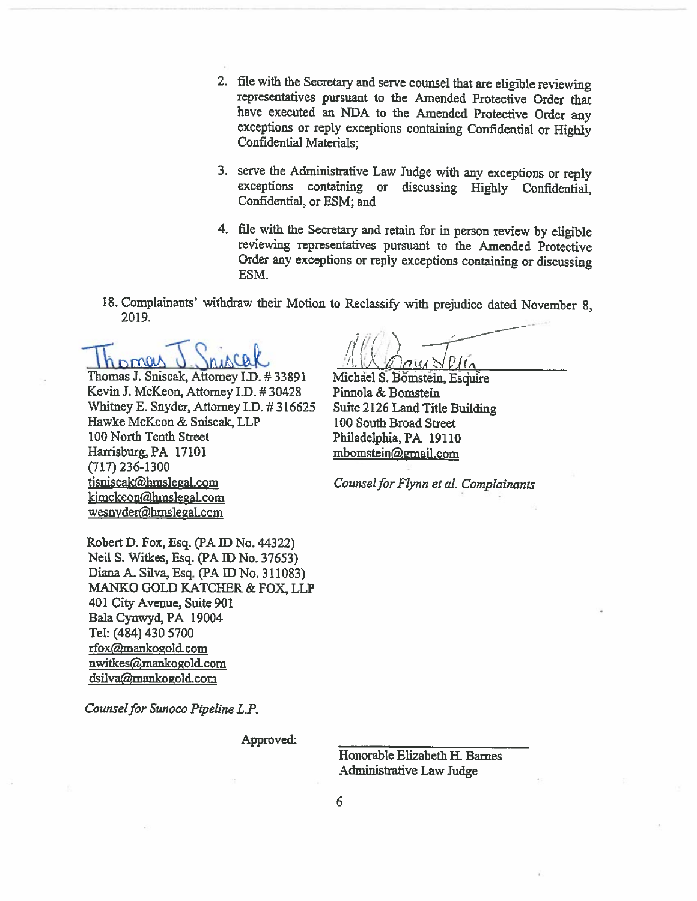- 2. file with the Secretary and serve counsel that are eligible reviewing representatives pursuant to the Amended Protective Order that have executed an NDA to the Amended Protective Order any exceptions or reply exceptions containing Confidential or Highly Confidential Materials:
- 3. serve the Administrative Law Judge with any exceptions or reply exceptions containing or discussing Highly Confidential, Confidential, or ESM; and
- 4. file with the Secretary and retain for in person review by eligible reviewing representatives pursuant to the Amended Protective Order any exceptions or reply exceptions containing or discussing ESM.
- 18. Complainants' withdraw their Motion to Reclassify with prejudice dated November 8, 2019.

Thomas J. Sniscak, Attorney I.D. #33891 Kevin J. McKeon, Attorney I.D. #30428 Whitney E. Snyder, Attorney I.D. #316625 Hawke McKeon & Sniscak, LLP 100 North Tenth Street Harrisburg, PA 17101  $(717)$  236-1300 tjsniscak@hmslegal.com kimckeon@hmslegal.com wesnyder@hmslegal.com

Michael S. Bomstein, Esquire Pinnola & Bomstein Suite 2126 Land Title Building 100 South Broad Street Philadelphia, PA 19110 mbomstein@gmail.com

Counsel for Flynn et al. Complainants

Robert D. Fox, Esq. (PA ID No. 44322) Neil S. Witkes, Esq. (PA ID No. 37653) Diana A. Silva, Esq. (PA ID No. 311083) MANKO GOLD KATCHER & FOX, LLP 401 City Avenue, Suite 901 Bala Cynwyd, PA 19004 Tel: (484) 430 5700 rfox@mankogold.com nwitkes@mankogold.com dsilva@mankogold.com

Counsel for Sunoco Pipeline L.P.

Approved:

Honorable Elizabeth H. Barnes Administrative Law Judge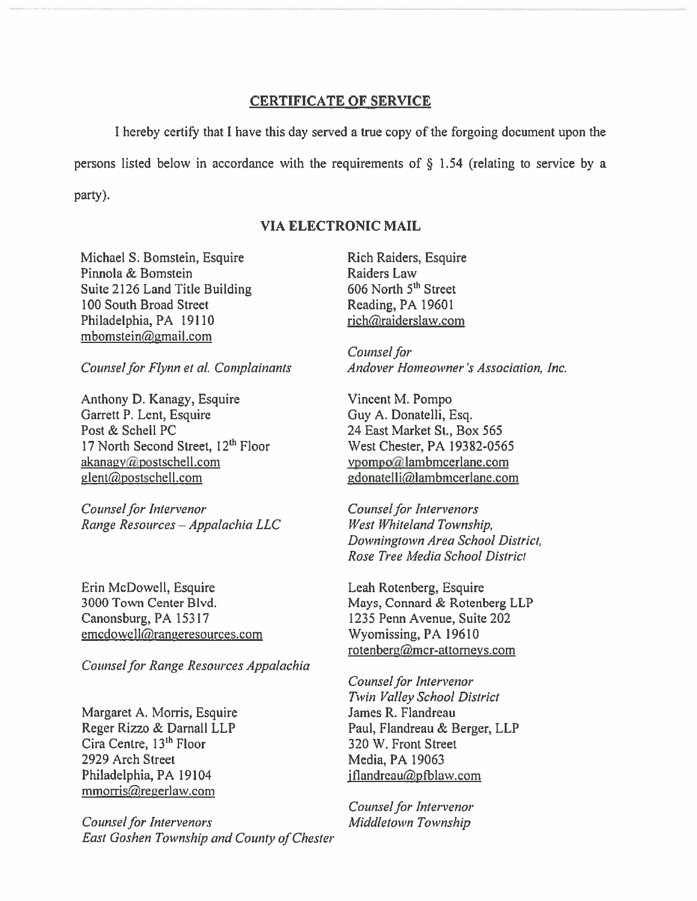#### **CERTIFICATE OF SERVICE**

I hereby certify that I have this day served a true copy of the forgoing document upon the persons listed below in accordance with the requirements of  $\S$  1.54 (relating to service by a party).

## **VIA ELECTRONIC MAIL**

Michael S. Bomstein, Esquire Pinnola & Bomstein Suite 2126 Land Title Building 100 South Broad Street Philadelphia, PA 19110 mbomstein@gmail.com

Counsel for Flynn et al. Complainants

Anthony D. Kanagy, Esquire Garrett P. Lent, Esquire Post & Schell PC 17 North Second Street, 12<sup>th</sup> Floor akanagy@postschell.com glent@postschell.com

Counsel for Intervenor Range Resources - Appalachia LLC

Erin McDowell, Esquire 3000 Town Center Blvd. Canonsburg, PA 15317 emcdowell@rangeresources.com

Counsel for Range Resources Appalachia

Margaret A. Morris, Esquire Reger Rizzo & Darnall LLP Cira Centre, 13<sup>th</sup> Floor 2929 Arch Street Philadelphia, PA 19104 mmorris@regerlaw.com

**Counsel for Intervenors** East Goshen Township and County of Chester

Rich Raiders, Esquire Raiders Law 606 North 5<sup>th</sup> Street Reading, PA 19601 rich@raiderslaw.com

Counsel for Andover Homeowner's Association, Inc.

Vincent M. Pompo Guy A. Donatelli, Esq. 24 East Market St., Box 565 West Chester, PA 19382-0565 vpompo@lambmcerlane.com gdonatelli@lambmcerlane.com

**Counsel for Intervenors** West Whiteland Township, Downingtown Area School District, Rose Tree Media School District

Leah Rotenberg, Esquire Mays, Connard & Rotenberg LLP 1235 Penn Avenue, Suite 202 Wyomissing, PA 19610 rotenberg@mcr-attorneys.com

Counsel for Intervenor Twin Valley School District James R. Flandreau Paul, Flandreau & Berger, LLP 320 W. Front Street Media, PA 19063 jflandreau@pfblaw.com

Counsel for Intervenor Middletown Township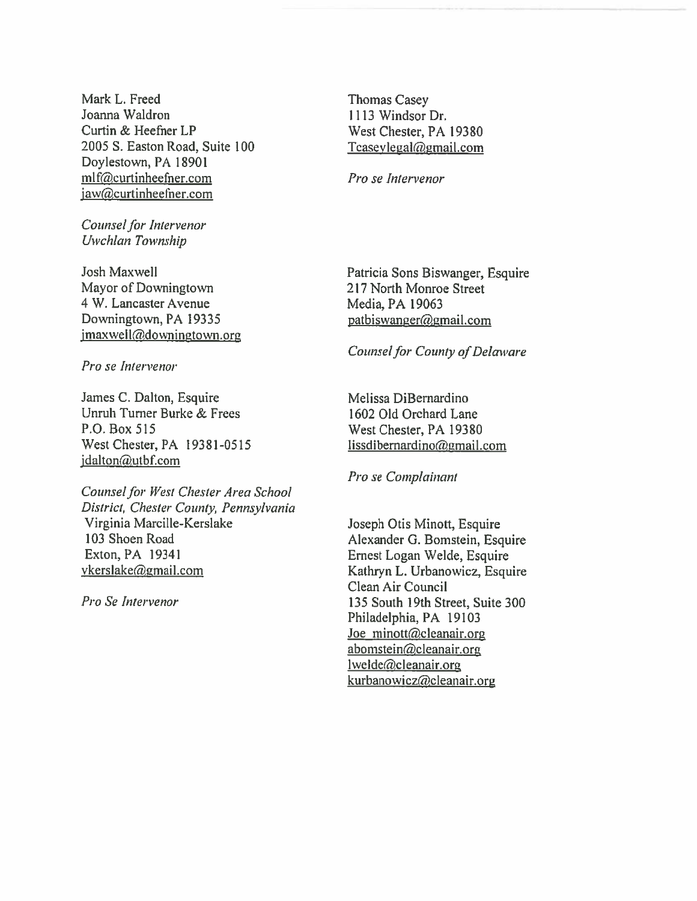Mark L. Freed Joanna Waldron Curtin & Heefner LP 2005 S. Easton Road, Suite 100 Doylestown, PA 18901 mlf@curtinheefner.com jaw@curtinheefner.com

Counsel for Intervenor Uwehian Township

Josh Maxwell Mayor of Downingtown 4 W. Lancaster Avenue Downingtown, PA 19335  $jmaxwell$ @downingtown.org

Pro se Intervenor

James C. Dalton, Esquire Unruh Turner Burke & Frees P.O. Box 515 West Chester, PA 19381-0515 jdalton@utbf.com

Counsel for West Chester Area School District, Chester County, Pennsylvania Virginia Marcille-Kerslake 103 Shoen Road Exton, PA 19341 vkers1akegmai1.com

Pro Se Intervenor

Thomas Casey 1113 Windsor Dr. West Chester, PA 19380  $Tcaseylegal@gmail.com$ 

Pro se Intervenor

Patricia Sons Biswanger, Esquire 217 North Monroe Street Media, PA 19063 patbiswanger@gmail.com

### Counsel for County of Delaware

Melissa DiBernardino 1602 Old Orchard Lane West Chester, PA 19380 lissdibernardino@gmail.com

Pro se Complainant

Joseph Otis Minott, Esquire Alexander G. Bomstein, Esquire Ernest Logan Welde, Esquire Kathryn L. Urbanowicz, Esquire Clean Air Council 135 South 19th Street, Suite 300 Philadelphia, PA 19103 Joe minott@cleanair.org abomstein@cleanair.org  $l$ welde@cleanair.org  $kurbanowicz@cleanair.org$